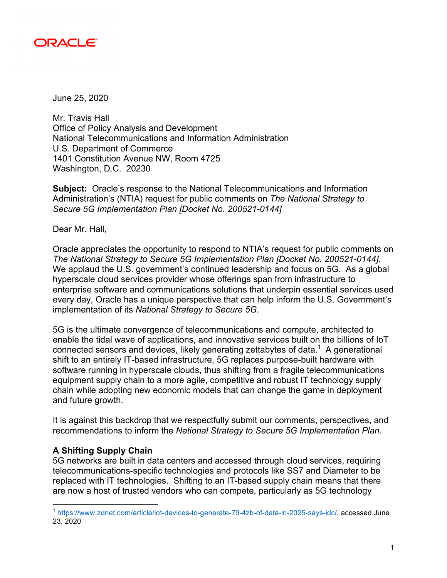

June 25, 2020

Mr. Travis Hall Office of Policy Analysis and Development National Telecommunications and Information Administration U.S. Department of Commerce 1401 Constitution Avenue NW, Room 4725 Washington, D.C. 20230

**Subject:** Oracle's response to the National Telecommunications and Information Administration's (NTIA) request for public comments on *The National Strategy to Secure 5G Implementation Plan [Docket No. 200521-0144]*

Dear Mr. Hall,

Oracle appreciates the opportunity to respond to NTIA's request for public comments on *The National Strategy to Secure 5G Implementation Plan [Docket No. 200521-0144]*. We applaud the U.S. government's continued leadership and focus on 5G. As a global hyperscale cloud services provider whose offerings span from infrastructure to enterprise software and communications solutions that underpin essential services used every day, Oracle has a unique perspective that can help inform the U.S. Government's implementation of its *National Strategy to Secure 5G*.

5G is the ultimate convergence of telecommunications and compute, architected to enable the tidal wave of applications, and innovative services built on the billions of IoT connected sensors and devices, likely generating zettabytes of data. $<sup>1</sup>$  A generational</sup> shift to an entirely IT-based infrastructure, 5G replaces purpose-built hardware with software running in hyperscale clouds, thus shifting from a fragile telecommunications equipment supply chain to a more agile, competitive and robust IT technology supply chain while adopting new economic models that can change the game in deployment and future growth.

It is against this backdrop that we respectfully submit our comments, perspectives, and recommendations to inform the *National Strategy to Secure 5G Implementation Plan*.

### **A Shifting Supply Chain**

5G networks are built in data centers and accessed through cloud services, requiring telecommunications-specific technologies and protocols like SS7 and Diameter to be replaced with IT technologies. Shifting to an IT-based supply chain means that there are now a host of trusted vendors who can compete, particularly as 5G technology

 <sup>1</sup> https://www.zdnet.com/article/iot-devices-to-generate-79-4zb-of-data-in-2025-says-idc/, accessed June 23, 2020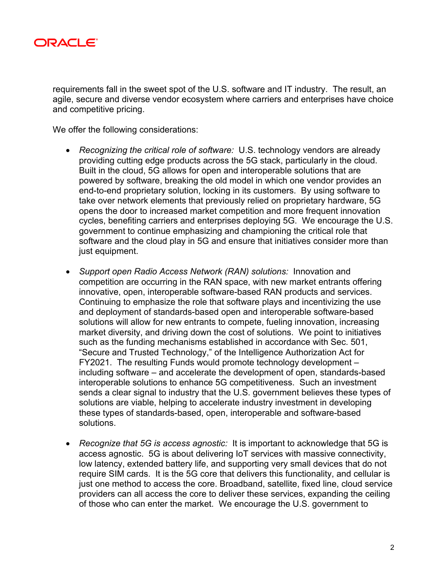

requirements fall in the sweet spot of the U.S. software and IT industry. The result, an agile, secure and diverse vendor ecosystem where carriers and enterprises have choice and competitive pricing.

We offer the following considerations:

- *Recognizing the critical role of software:* U.S. technology vendors are already providing cutting edge products across the 5G stack, particularly in the cloud. Built in the cloud, 5G allows for open and interoperable solutions that are powered by software, breaking the old model in which one vendor provides an end-to-end proprietary solution, locking in its customers. By using software to take over network elements that previously relied on proprietary hardware, 5G opens the door to increased market competition and more frequent innovation cycles, benefiting carriers and enterprises deploying 5G. We encourage the U.S. government to continue emphasizing and championing the critical role that software and the cloud play in 5G and ensure that initiatives consider more than just equipment.
- *Support open Radio Access Network (RAN) solutions:* Innovation and competition are occurring in the RAN space, with new market entrants offering innovative, open, interoperable software-based RAN products and services. Continuing to emphasize the role that software plays and incentivizing the use and deployment of standards-based open and interoperable software-based solutions will allow for new entrants to compete, fueling innovation, increasing market diversity, and driving down the cost of solutions. We point to initiatives such as the funding mechanisms established in accordance with Sec. 501, "Secure and Trusted Technology," of the Intelligence Authorization Act for FY2021. The resulting Funds would promote technology development – including software – and accelerate the development of open, standards-based interoperable solutions to enhance 5G competitiveness. Such an investment sends a clear signal to industry that the U.S. government believes these types of solutions are viable, helping to accelerate industry investment in developing these types of standards-based, open, interoperable and software-based solutions.
- *Recognize that 5G is access agnostic:* It is important to acknowledge that 5G is access agnostic. 5G is about delivering IoT services with massive connectivity, low latency, extended battery life, and supporting very small devices that do not require SIM cards. It is the 5G core that delivers this functionality, and cellular is just one method to access the core. Broadband, satellite, fixed line, cloud service providers can all access the core to deliver these services, expanding the ceiling of those who can enter the market. We encourage the U.S. government to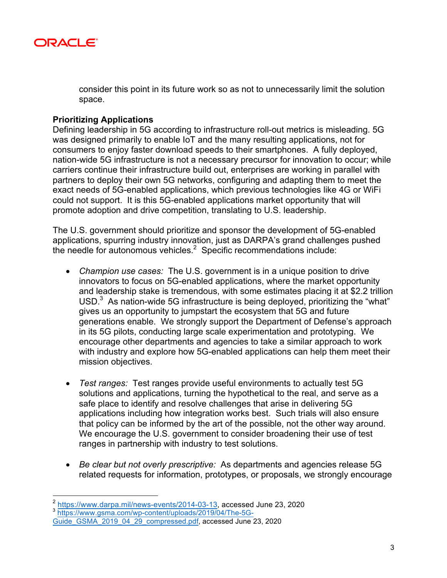

consider this point in its future work so as not to unnecessarily limit the solution space.

# **Prioritizing Applications**

Defining leadership in 5G according to infrastructure roll-out metrics is misleading. 5G was designed primarily to enable IoT and the many resulting applications, not for consumers to enjoy faster download speeds to their smartphones. A fully deployed, nation-wide 5G infrastructure is not a necessary precursor for innovation to occur; while carriers continue their infrastructure build out, enterprises are working in parallel with partners to deploy their own 5G networks, configuring and adapting them to meet the exact needs of 5G-enabled applications, which previous technologies like 4G or WiFi could not support. It is this 5G-enabled applications market opportunity that will promote adoption and drive competition, translating to U.S. leadership.

The U.S. government should prioritize and sponsor the development of 5G-enabled applications, spurring industry innovation, just as DARPA's grand challenges pushed the needle for autonomous vehicles. $2$  Specific recommendations include:

- *Champion use cases:* The U.S. government is in a unique position to drive innovators to focus on 5G-enabled applications, where the market opportunity and leadership stake is tremendous, with some estimates placing it at \$2.2 trillion USD. $3$  As nation-wide 5G infrastructure is being deployed, prioritizing the "what" gives us an opportunity to jumpstart the ecosystem that 5G and future generations enable. We strongly support the Department of Defense's approach in its 5G pilots, conducting large scale experimentation and prototyping. We encourage other departments and agencies to take a similar approach to work with industry and explore how 5G-enabled applications can help them meet their mission objectives.
- *Test ranges:* Test ranges provide useful environments to actually test 5G solutions and applications, turning the hypothetical to the real, and serve as a safe place to identify and resolve challenges that arise in delivering 5G applications including how integration works best. Such trials will also ensure that policy can be informed by the art of the possible, not the other way around. We encourage the U.S. government to consider broadening their use of test ranges in partnership with industry to test solutions.
- *Be clear but not overly prescriptive:* As departments and agencies release 5G related requests for information, prototypes, or proposals, we strongly encourage

 <sup>2</sup> https://www.darpa.mil/news-events/2014-03-13, accessed June 23, 2020

<sup>3</sup> https://www.gsma.com/wp-content/uploads/2019/04/The-5G-

Guide\_GSMA\_2019\_04\_29\_compressed.pdf, accessed June 23, 2020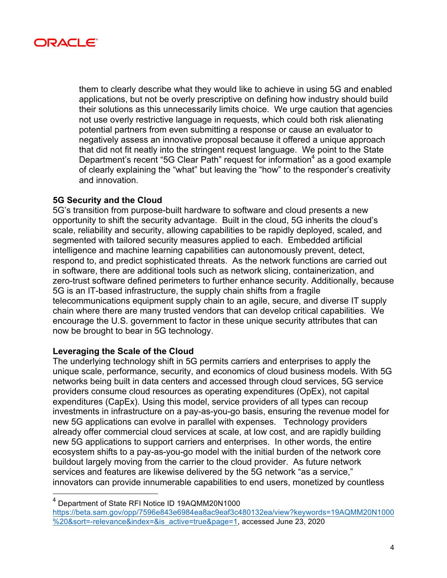

them to clearly describe what they would like to achieve in using 5G and enabled applications, but not be overly prescriptive on defining how industry should build their solutions as this unnecessarily limits choice. We urge caution that agencies not use overly restrictive language in requests, which could both risk alienating potential partners from even submitting a response or cause an evaluator to negatively assess an innovative proposal because it offered a unique approach that did not fit neatly into the stringent request language. We point to the State Department's recent "5G Clear Path" request for information<sup>4</sup> as a good example of clearly explaining the "what" but leaving the "how" to the responder's creativity and innovation.

# **5G Security and the Cloud**

5G's transition from purpose-built hardware to software and cloud presents a new opportunity to shift the security advantage. Built in the cloud, 5G inherits the cloud's scale, reliability and security, allowing capabilities to be rapidly deployed, scaled, and segmented with tailored security measures applied to each. Embedded artificial intelligence and machine learning capabilities can autonomously prevent, detect, respond to, and predict sophisticated threats. As the network functions are carried out in software, there are additional tools such as network slicing, containerization, and zero-trust software defined perimeters to further enhance security. Additionally, because 5G is an IT-based infrastructure, the supply chain shifts from a fragile telecommunications equipment supply chain to an agile, secure, and diverse IT supply chain where there are many trusted vendors that can develop critical capabilities. We encourage the U.S. government to factor in these unique security attributes that can now be brought to bear in 5G technology.

### **Leveraging the Scale of the Cloud**

The underlying technology shift in 5G permits carriers and enterprises to apply the unique scale, performance, security, and economics of cloud business models. With 5G networks being built in data centers and accessed through cloud services, 5G service providers consume cloud resources as operating expenditures (OpEx), not capital expenditures (CapEx). Using this model, service providers of all types can recoup investments in infrastructure on a pay-as-you-go basis, ensuring the revenue model for new 5G applications can evolve in parallel with expenses. Technology providers already offer commercial cloud services at scale, at low cost, and are rapidly building new 5G applications to support carriers and enterprises. In other words, the entire ecosystem shifts to a pay-as-you-go model with the initial burden of the network core buildout largely moving from the carrier to the cloud provider. As future network services and features are likewise delivered by the 5G network "as a service," innovators can provide innumerable capabilities to end users, monetized by countless

 <sup>4</sup> Department of State RFI Notice ID 19AQMM20N1000 https://beta.sam.gov/opp/7596e843e6984ea8ac9eaf3c480132ea/view?keywords=19AQMM20N1000 %20&sort=-relevance&index=&is\_active=true&page=1, accessed June 23, 2020